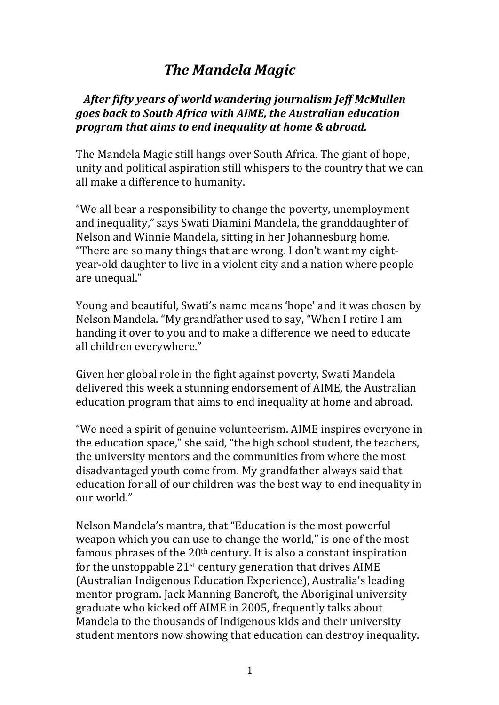## **The Mandela Magic**

## After fifty years of world wandering journalism Jeff McMullen *goes back to South Africa with AIME, the Australian education program that aims to end inequality at home & abroad.*

The Mandela Magic still hangs over South Africa. The giant of hope, unity and political aspiration still whispers to the country that we can all make a difference to humanity.

"We all bear a responsibility to change the poverty, unemployment and inequality," says Swati Diamini Mandela, the granddaughter of Nelson and Winnie Mandela, sitting in her Johannesburg home. "There are so many things that are wrong. I don't want my eightyear-old daughter to live in a violent city and a nation where people are unequal."

Young and beautiful, Swati's name means 'hope' and it was chosen by Nelson Mandela. "My grandfather used to say, "When I retire I am handing it over to you and to make a difference we need to educate all children everywhere."

Given her global role in the fight against poverty, Swati Mandela delivered this week a stunning endorsement of AIME, the Australian education program that aims to end inequality at home and abroad.

"We need a spirit of genuine volunteerism. AIME inspires everyone in the education space," she said, "the high school student, the teachers, the university mentors and the communities from where the most disadvantaged youth come from. My grandfather always said that education for all of our children was the best way to end inequality in our world."

Nelson Mandela's mantra, that "Education is the most powerful weapon which you can use to change the world," is one of the most famous phrases of the  $20<sup>th</sup>$  century. It is also a constant inspiration for the unstoppable  $21^{st}$  century generation that drives AIME (Australian Indigenous Education Experience), Australia's leading mentor program. Jack Manning Bancroft, the Aboriginal university graduate who kicked off AIME in 2005, frequently talks about Mandela to the thousands of Indigenous kids and their university student mentors now showing that education can destroy inequality.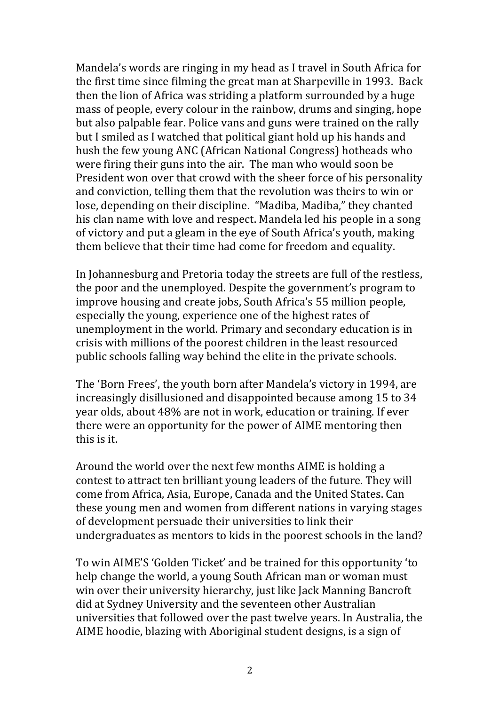Mandela's words are ringing in my head as I travel in South Africa for the first time since filming the great man at Sharpeville in 1993. Back then the lion of Africa was striding a platform surrounded by a huge mass of people, every colour in the rainbow, drums and singing, hope but also palpable fear. Police vans and guns were trained on the rally but I smiled as I watched that political giant hold up his hands and hush the few young ANC (African National Congress) hotheads who were firing their guns into the air. The man who would soon be President won over that crowd with the sheer force of his personality and conviction, telling them that the revolution was theirs to win or lose, depending on their discipline. "Madiba, Madiba," they chanted his clan name with love and respect. Mandela led his people in a song of victory and put a gleam in the eye of South Africa's youth, making them believe that their time had come for freedom and equality.

In Johannesburg and Pretoria today the streets are full of the restless, the poor and the unemployed. Despite the government's program to improve housing and create jobs, South Africa's 55 million people, especially the young, experience one of the highest rates of unemployment in the world. Primary and secondary education is in crisis with millions of the poorest children in the least resourced public schools falling way behind the elite in the private schools.

The 'Born Frees', the youth born after Mandela's victory in 1994, are increasingly disillusioned and disappointed because among 15 to 34 year olds, about 48% are not in work, education or training. If ever there were an opportunity for the power of AIME mentoring then this is it.

Around the world over the next few months AIME is holding a contest to attract ten brilliant young leaders of the future. They will come from Africa, Asia, Europe, Canada and the United States. Can these young men and women from different nations in varying stages of development persuade their universities to link their undergraduates as mentors to kids in the poorest schools in the land?

To win AIME'S 'Golden Ticket' and be trained for this opportunity 'to help change the world, a young South African man or woman must win over their university hierarchy, just like Jack Manning Bancroft did at Sydney University and the seventeen other Australian universities that followed over the past twelve vears. In Australia, the AIME hoodie, blazing with Aboriginal student designs, is a sign of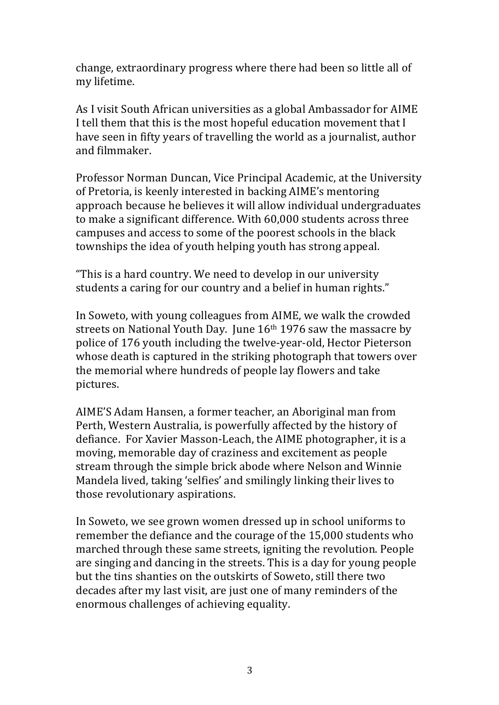change, extraordinary progress where there had been so little all of my lifetime.

As I visit South African universities as a global Ambassador for AIME I tell them that this is the most hopeful education movement that I have seen in fifty years of travelling the world as a journalist, author and filmmaker.

Professor Norman Duncan, Vice Principal Academic, at the University of Pretoria, is keenly interested in backing AIME's mentoring approach because he believes it will allow individual undergraduates to make a significant difference. With 60,000 students across three campuses and access to some of the poorest schools in the black townships the idea of youth helping youth has strong appeal.

"This is a hard country. We need to develop in our university students a caring for our country and a belief in human rights."

In Soweto, with young colleagues from AIME, we walk the crowded streets on National Youth Day. June  $16<sup>th</sup> 1976$  saw the massacre by police of 176 youth including the twelve-year-old, Hector Pieterson whose death is captured in the striking photograph that towers over the memorial where hundreds of people lay flowers and take pictures.

AIME'S Adam Hansen, a former teacher, an Aboriginal man from Perth, Western Australia, is powerfully affected by the history of defiance. For Xavier Masson-Leach, the AIME photographer, it is a moving, memorable day of craziness and excitement as people stream through the simple brick abode where Nelson and Winnie Mandela lived, taking 'selfies' and smilingly linking their lives to those revolutionary aspirations.

In Soweto, we see grown women dressed up in school uniforms to remember the defiance and the courage of the 15,000 students who marched through these same streets, igniting the revolution. People are singing and dancing in the streets. This is a day for young people but the tins shanties on the outskirts of Soweto, still there two decades after my last visit, are just one of many reminders of the enormous challenges of achieving equality.